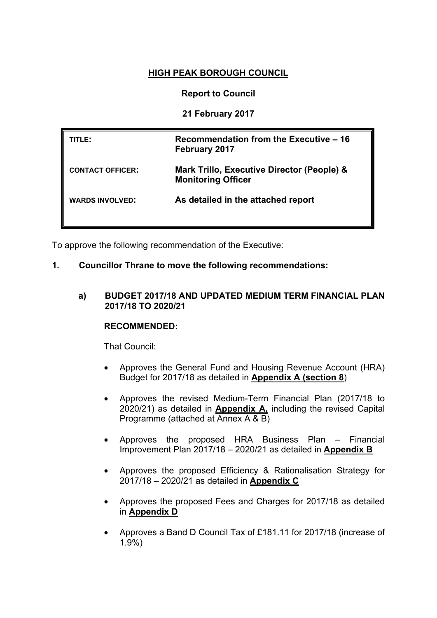# **HIGH PEAK BOROUGH COUNCIL**

## **Report to Council**

## **21 February 2017**

| TITLE:                  | Recommendation from the Executive – 16<br><b>February 2017</b>          |
|-------------------------|-------------------------------------------------------------------------|
| <b>CONTACT OFFICER:</b> | Mark Trillo, Executive Director (People) &<br><b>Monitoring Officer</b> |
| <b>WARDS INVOLVED:</b>  | As detailed in the attached report                                      |

To approve the following recommendation of the Executive:

## **1. Councillor Thrane to move the following recommendations:**

#### **a) BUDGET 2017/18 AND UPDATED MEDIUM TERM FINANCIAL PLAN 2017/18 TO 2020/21**

#### **RECOMMENDED:**

That Council:

- Approves the General Fund and Housing Revenue Account (HRA) Budget for 2017/18 as detailed in **Appendix A (section 8**)
- Approves the revised Medium-Term Financial Plan (2017/18 to 2020/21) as detailed in **Appendix A,** including the revised Capital Programme (attached at Annex A & B)
- Approves the proposed HRA Business Plan Financial Improvement Plan 2017/18 – 2020/21 as detailed in **Appendix B**
- Approves the proposed Efficiency & Rationalisation Strategy for 2017/18 – 2020/21 as detailed in **Appendix C**
- Approves the proposed Fees and Charges for 2017/18 as detailed in **Appendix D**
- Approves a Band D Council Tax of £181.11 for 2017/18 (increase of 1.9%)